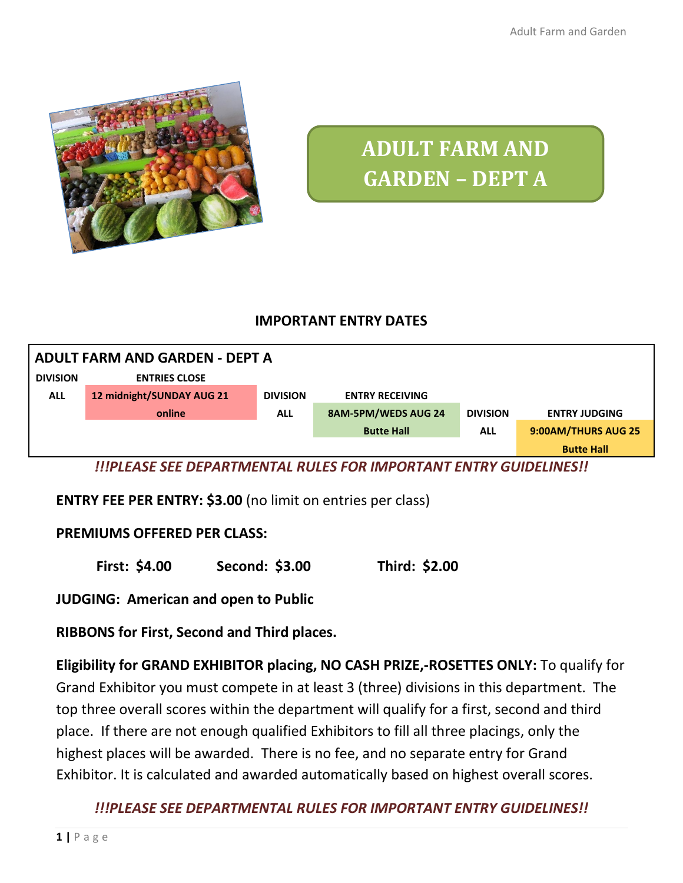Adult Farm and Garden



# **ADULT FARM AND GARDEN – DEPT A**

#### **IMPORTANT ENTRY DATES**



*!!!PLEASE SEE DEPARTMENTAL RULES FOR IMPORTANT ENTRY GUIDELINES!!*

**ENTRY FEE PER ENTRY: \$3.00** (no limit on entries per class)

#### **PREMIUMS OFFERED PER CLASS:**

**First: \$4.00 Second: \$3.00 Third: \$2.00**

**JUDGING: American and open to Public**

**RIBBONS for First, Second and Third places.** 

**Eligibility for GRAND EXHIBITOR placing, NO CASH PRIZE,-ROSETTES ONLY:** To qualify for Grand Exhibitor you must compete in at least 3 (three) divisions in this department. The top three overall scores within the department will qualify for a first, second and third place. If there are not enough qualified Exhibitors to fill all three placings, only the highest places will be awarded. There is no fee, and no separate entry for Grand Exhibitor. It is calculated and awarded automatically based on highest overall scores.

*!!!PLEASE SEE DEPARTMENTAL RULES FOR IMPORTANT ENTRY GUIDELINES!!*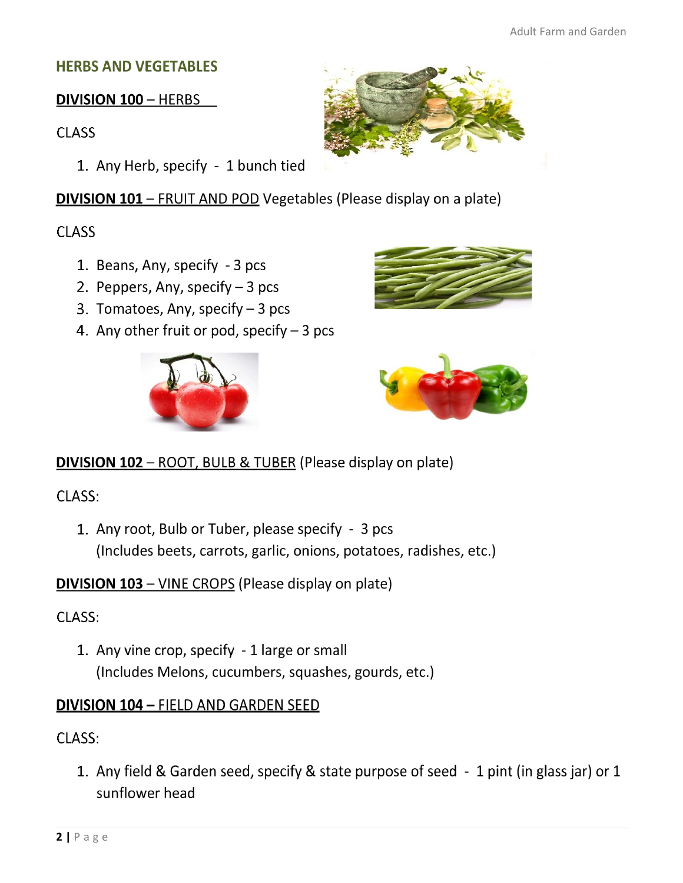## **HERBS AND VEGETABLES**

## **DIVISION 100 - HERBS**

**CLASS** 

1. Any Herb, specify - 1 bunch tied

**DIVISION 101 - FRUIT AND POD Vegetables (Please display on a plate)** 

## **CLASS**

- 1. Beans, Any, specify 3 pcs
- 2. Peppers, Any, specify  $-3$  pcs
- 3. Tomatoes, Any, specify  $-3$  pcs
- 4. Any other fruit or pod, specify  $-3$  pcs









## **DIVISION 102 - ROOT, BULB & TUBER (Please display on plate)**

CLASS:

1. Any root, Bulb or Tuber, please specify - 3 pcs (Includes beets, carrots, garlic, onions, potatoes, radishes, etc.)

**DIVISION 103 - VINE CROPS (Please display on plate)** 

## CLASS:

1. Any vine crop, specify - 1 large or small (Includes Melons, cucumbers, squashes, gourds, etc.)

## **DIVISION 104 - FIELD AND GARDEN SEED**

## CLASS:

1. Any field & Garden seed, specify & state purpose of seed - 1 pint (in glass jar) or 1 sunflower head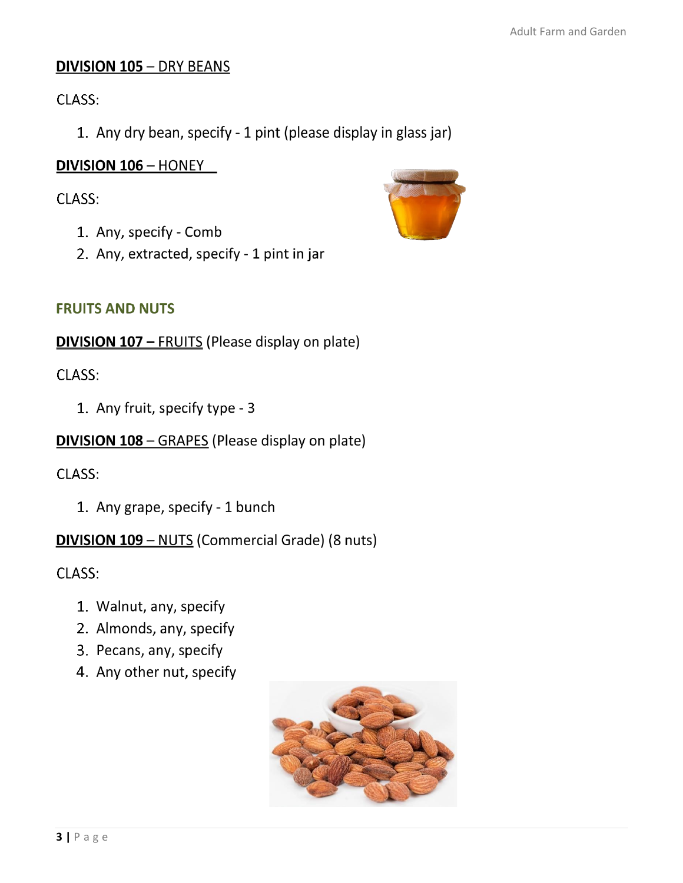#### **DIVISION 105 - DRY BEANS**

CLASS:

1. Any dry bean, specify - 1 pint (please display in glass jar)

#### **DIVISION 106 - HONEY**

#### CLASS:

- 1. Any, specify Comb
- 2. Any, extracted, specify 1 pint in jar



#### **FRUITS AND NUTS**

**DIVISION 107 - FRUITS (Please display on plate)** 

#### CLASS:

1. Any fruit, specify type - 3

#### **DIVISION 108 - GRAPES (Please display on plate)**

CLASS:

1. Any grape, specify - 1 bunch

**DIVISION 109 - NUTS (Commercial Grade) (8 nuts)** 

CLASS:

- 1. Walnut, any, specify
- 2. Almonds, any, specify
- 3. Pecans, any, specify
- 4. Any other nut, specify

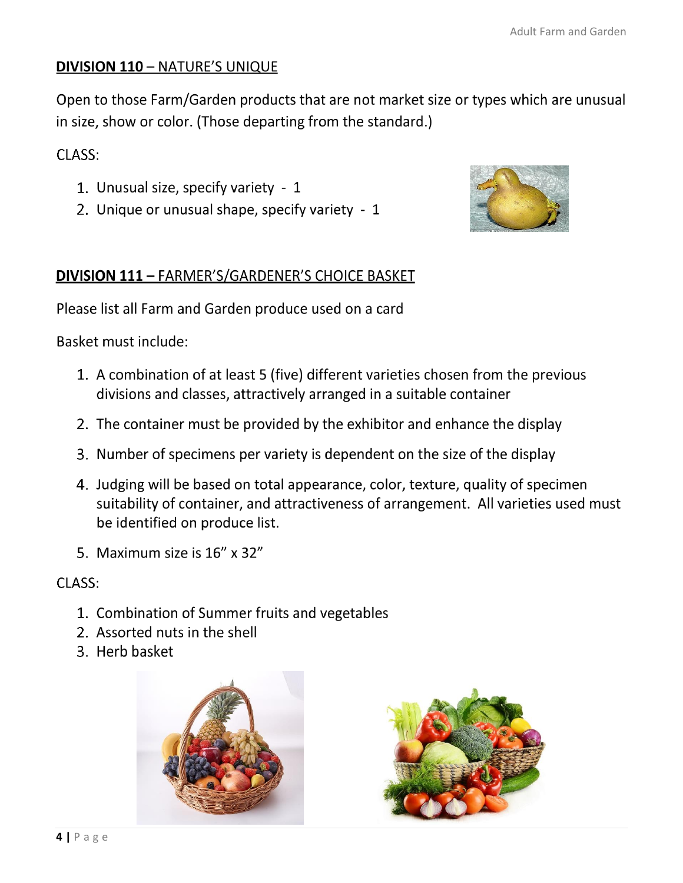## **DIVISION 110 - NATURE'S UNIQUE**

Open to those Farm/Garden products that are not market size or types which are unusual in size, show or color. (Those departing from the standard.)

#### CLASS:

- 1. Unusual size, specify variety 1
- 2. Unique or unusual shape, specify variety 1



## **DIVISION 111 - FARMER'S/GARDENER'S CHOICE BASKET**

Please list all Farm and Garden produce used on a card

Basket must include:

- 1. A combination of at least 5 (five) different varieties chosen from the previous divisions and classes, attractively arranged in a suitable container
- 2. The container must be provided by the exhibitor and enhance the display
- 3. Number of specimens per variety is dependent on the size of the display
- 4. Judging will be based on total appearance, color, texture, quality of specimen suitability of container, and attractiveness of arrangement. All varieties used must be identified on produce list.
- 5. Maximum size is 16" x 32"

#### CLASS:

- 1. Combination of Summer fruits and vegetables
- 2. Assorted nuts in the shell
- 3. Herb basket